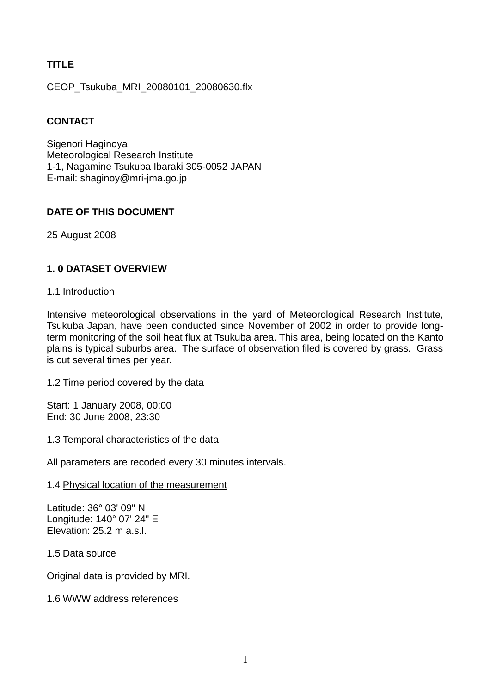# **TITLE**

CEOP\_Tsukuba\_MRI\_20080101\_20080630.flx

## **CONTACT**

Sigenori Haginova Meteorological Research Institute 1-1, Nagamine Tsukuba Ibaraki 305-0052 JAPAN E-mail: shaginoy@mri-jma.go.jp

## **DATE OF THIS DOCUMENT**

25 August 2008

# **1. 0 DATASET OVERVIEW**

#### 1.1 Introduction

Intensive meteorological observations in the yard of Meteorological Research Institute, Tsukuba Japan, have been conducted since November of 2002 in order to provide longterm monitoring of the soil heat flux at Tsukuba area. This area, being located on the Kanto plains is typical suburbs area. The surface of observation filed is covered by grass. Grass is cut several times per year.

1.2 Time period covered by the data

Start: 1 January 2008, 00:00 End: 30 June 2008, 23:30

1.3 Temporal characteristics of the data

All parameters are recoded every 30 minutes intervals.

#### 1.4 Physical location of the measurement

Latitude: 36° 03' 09" N Longitude: 140° 07' 24" E Elevation: 25.2 m a.s.l.

1.5 Data source

Original data is provided by MRI.

### 1.6 WWW address references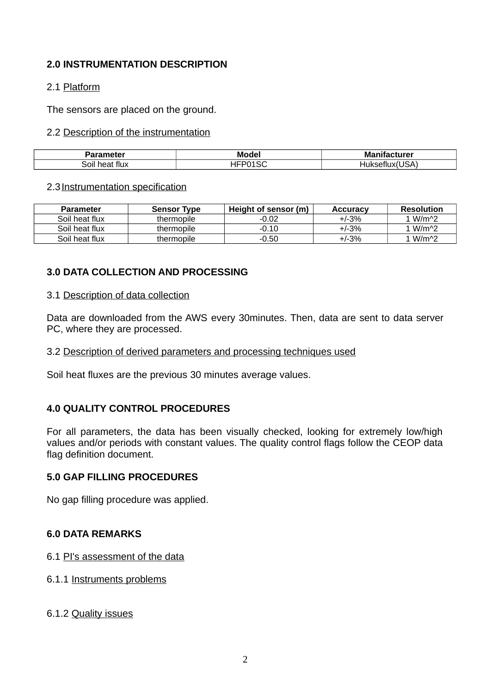## **2.0 INSTRUMENTATION DESCRIPTION**

### 2.1 Platform

The sensors are placed on the ground.

### 2.2 Description of the instrumentation

| ----            | Mode   | - -<br>M<br>turer<br>___ |
|-----------------|--------|--------------------------|
| اا0د<br>$\cdot$ | $\sim$ | $\sim$                   |

### 2.3 Instrumentation specification

| <b>Parameter</b> | <b>Sensor Type</b> | Height of sensor (m) | <b>Accuracy</b> | <b>Resolution</b>  |
|------------------|--------------------|----------------------|-----------------|--------------------|
| Soil heat flux   | thermopile         | $-0.02$              | $+1 - 3%$       | 1 W/m <sup>2</sup> |
| Soil heat flux   | thermopile         | $-0.10$              | $+/-3%$         | 1 W/m <sup>2</sup> |
| Soil heat flux   | thermopile         | $-0.50$              | $+/-3%$         | 1 W/m <sup>2</sup> |

# **3.0 DATA COLLECTION AND PROCESSING**

#### 3.1 Description of data collection

Data are downloaded from the AWS every 30minutes. Then, data are sent to data server PC, where they are processed.

### 3.2 Description of derived parameters and processing techniques used

Soil heat fluxes are the previous 30 minutes average values.

### **4.0 QUALITY CONTROL PROCEDURES**

For all parameters, the data has been visually checked, looking for extremely low/high values and/or periods with constant values. The quality control flags follow the CEOP data flag definition document.

#### **5.0 GAP FILLING PROCEDURES**

No gap filling procedure was applied.

### **6.0 DATA REMARKS**

6.1 PI's assessment of the data

6.1.1 Instruments problems

### 6.1.2 Quality issues